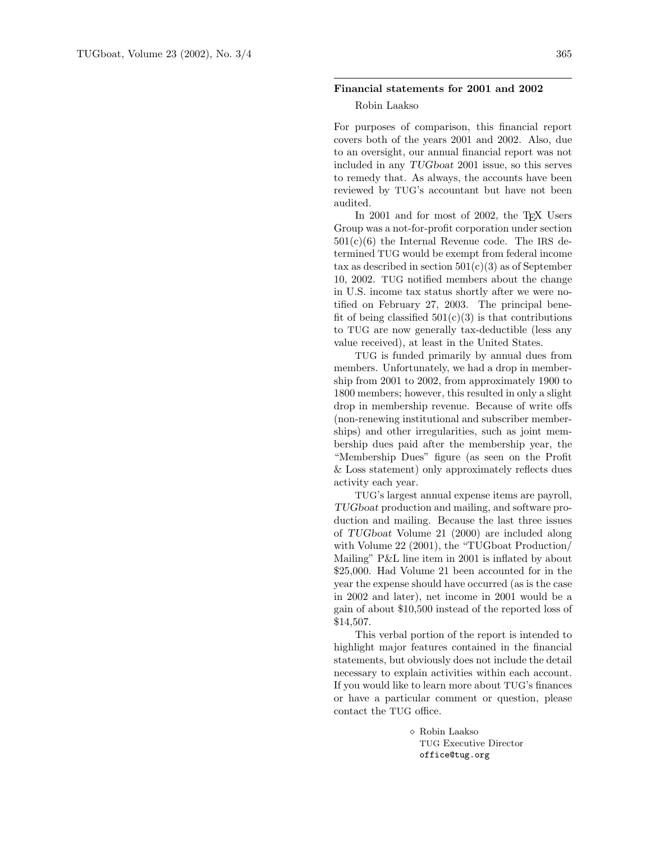## Financial statements for 2001 and 2002

## Robin Laakso

For purposes of comparison, this financial report covers both of the years 2001 and 2002. Also, due to an oversight, our annual financial report was not included in any TUGboat 2001 issue, so this serves to remedy that. As always, the accounts have been reviewed by TUG's accountant but have not been audited.

In 2001 and for most of 2002, the TEX Users Group was a not-for-profit corporation under section  $501(c)(6)$  the Internal Revenue code. The IRS determined TUG would be exempt from federal income tax as described in section  $501(c)(3)$  as of September 10, 2002. TUG notified members about the change in U.S. income tax status shortly after we were notified on February 27, 2003. The principal benefit of being classified  $501(c)(3)$  is that contributions to TUG are now generally tax-deductible (less any value received), at least in the United States.

TUG is funded primarily by annual dues from members. Unfortunately, we had a drop in membership from 2001 to 2002, from approximately 1900 to 1800 members; however, this resulted in only a slight drop in membership revenue. Because of write offs (non-renewing institutional and subscriber memberships) and other irregularities, such as joint membership dues paid after the membership year, the "Membership Dues" figure (as seen on the Profit & Loss statement) only approximately reflects dues activity each year.

TUG's largest annual expense items are payroll, TUGboat production and mailing, and software production and mailing. Because the last three issues of TUGboat Volume 21 (2000) are included along with Volume 22 (2001), the "TUGboat Production/ Mailing" P&L line item in 2001 is inflated by about \$25,000. Had Volume 21 been accounted for in the year the expense should have occurred (as is the case in 2002 and later), net income in 2001 would be a gain of about \$10,500 instead of the reported loss of \$14,507.

This verbal portion of the report is intended to highlight major features contained in the financial statements, but obviously does not include the detail necessary to explain activities within each account. If you would like to learn more about TUG's finances or have a particular comment or question, please contact the TUG office.

> Robin Laakso TUG Executive Director office@tug.org